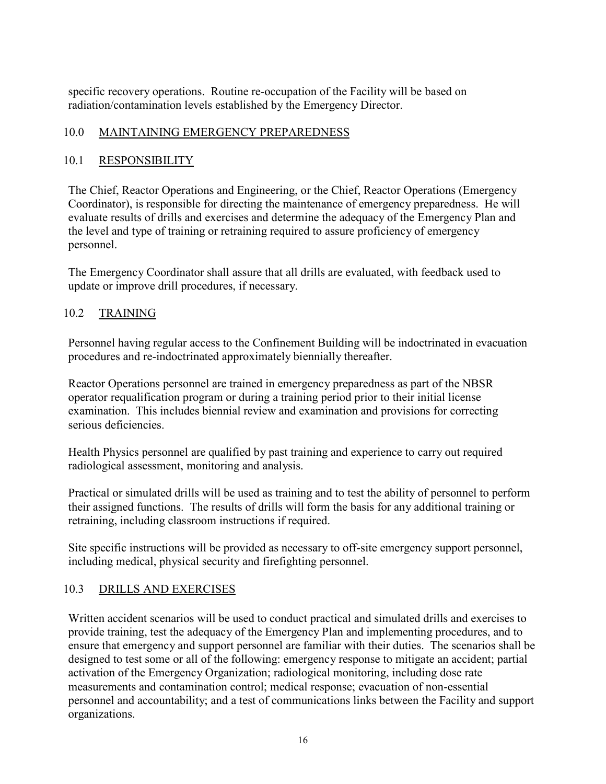specific recovery operations. Routine re-occupation of the Facility will be based on radiation/contamination levels established by the Emergency Director.

## 10.0 MAINTAINING EMERGENCY PREPAREDNESS

## 10.1 RESPONSIBILITY

The Chief, Reactor Operations and Engineering, or the Chief, Reactor Operations (Emergency Coordinator), is responsible for directing the maintenance of emergency preparedness. He will evaluate results of drills and exercises and determine the adequacy of the Emergency Plan and the level and type of training or retraining required to assure proficiency of emergency personnel.

The Emergency Coordinator shall assure that all drills are evaluated, with feedback used to update or improve drill procedures, if necessary.

#### 10.2 TRAINING

Personnel having regular access to the Confinement Building will be indoctrinated in evacuation procedures and re-indoctrinated approximately biennially thereafter.

Reactor Operations personnel are trained in emergency preparedness as part of the NBSR operator requalification program or during a training period prior to their initial license examination. This includes biennial review and examination and provisions for correcting serious deficiencies.

Health Physics personnel are qualified by past training and experience to carry out required radiological assessment, monitoring and analysis.

Practical or simulated drills will be used as training and to test the ability of personnel to perform their assigned functions. The results of drills will form the basis for any additional training or retraining, including classroom instructions if required.

Site specific instructions will be provided as necessary to off-site emergency support personnel, including medical, physical security and firefighting personnel.

## 10.3 DRILLS AND EXERCISES

Written accident scenarios will be used to conduct practical and simulated drills and exercises to provide training, test the adequacy of the Emergency Plan and implementing procedures, and to ensure that emergency and support personnel are familiar with their duties. The scenarios shall be designed to test some or all of the following: emergency response to mitigate an accident; partial activation of the Emergency Organization; radiological monitoring, including dose rate measurements and contamination control; medical response; evacuation of non-essential personnel and accountability; and a test of communications links between the Facility and support organizations.